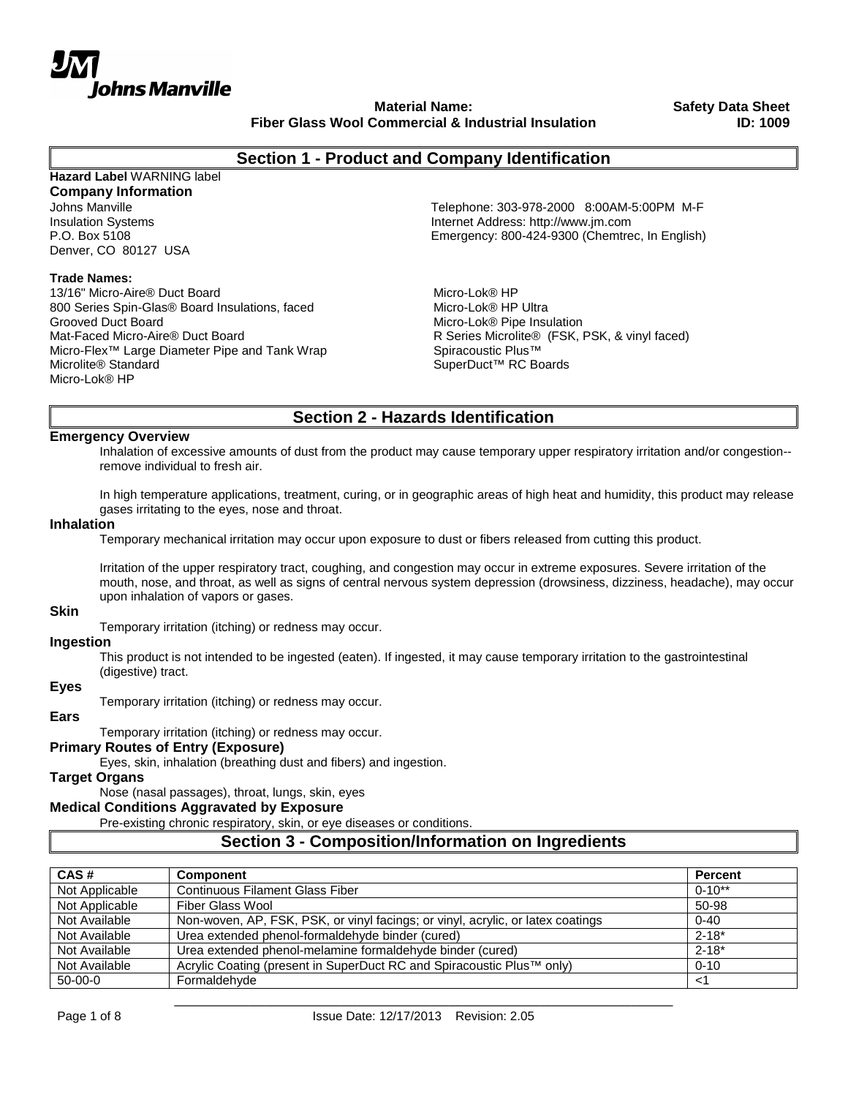

**Material Name: Fiber Glass Wool Commercial & Industrial Insulation** **Safety Data Sheet ID: 1009**

# **Section 1 - Product and Company Identification**

# **Hazard Label** WARNING label

**Company Information** Denver, CO 80127 USA

## **Trade Names:**

13/16" Micro-Aire® Duct Board 800 Series Spin-Glas® Board Insulations, faced Grooved Duct Board Mat-Faced Micro-Aire® Duct Board Micro-Flex™ Large Diameter Pipe and Tank Wrap Microlite® Standard Micro-Lok® HP

Johns Manville Telephone: 303-978-2000 8:00AM-5:00PM M-F Insulation Systems<br>
P.O. Box 5108<br>
P.O. Box 5108 Emergency: 800-424-9300 (Chemtrec, In English)

> Micro-Lok® HP Micro-Lok® HP Ultra Micro-Lok® Pipe Insulation R Series Microlite® (FSK, PSK, & vinyl faced) Spiracoustic Plus™ SuperDuct™ RC Boards

# **Section 2 - Hazards Identification**

#### **Emergency Overview**

Inhalation of excessive amounts of dust from the product may cause temporary upper respiratory irritation and/or congestion- remove individual to fresh air.

In high temperature applications, treatment, curing, or in geographic areas of high heat and humidity, this product may release gases irritating to the eyes, nose and throat.

# **Inhalation**

Temporary mechanical irritation may occur upon exposure to dust or fibers released from cutting this product.

Irritation of the upper respiratory tract, coughing, and congestion may occur in extreme exposures. Severe irritation of the mouth, nose, and throat, as well as signs of central nervous system depression (drowsiness, dizziness, headache), may occur upon inhalation of vapors or gases.

#### **Skin**

Temporary irritation (itching) or redness may occur.

#### **Ingestion**

This product is not intended to be ingested (eaten). If ingested, it may cause temporary irritation to the gastrointestinal (digestive) tract.

# **Eyes**

Temporary irritation (itching) or redness may occur.

#### **Ears**

Temporary irritation (itching) or redness may occur.

# **Primary Routes of Entry (Exposure)**

Eyes, skin, inhalation (breathing dust and fibers) and ingestion.

#### **Target Organs**

Nose (nasal passages), throat, lungs, skin, eyes

#### **Medical Conditions Aggravated by Exposure**

Pre-existing chronic respiratory, skin, or eye diseases or conditions.

# **Section 3 - Composition/Information on Ingredients**

| CAS#           | <b>Component</b>                                                                | <b>Percent</b> |
|----------------|---------------------------------------------------------------------------------|----------------|
| Not Applicable | <b>Continuous Filament Glass Fiber</b>                                          | $0 - 10**$     |
| Not Applicable | Fiber Glass Wool                                                                | 50-98          |
| Not Available  | Non-woven, AP, FSK, PSK, or vinyl facings; or vinyl, acrylic, or latex coatings | $0 - 40$       |
| Not Available  | Urea extended phenol-formaldehyde binder (cured)                                | $2 - 18*$      |
| Not Available  | Urea extended phenol-melamine formaldehyde binder (cured)                       | $2 - 18^*$     |
| Not Available  | Acrylic Coating (present in SuperDuct RC and Spiracoustic Plus™ only)           | $0 - 10$       |
| $50-00-0$      | Formaldehyde                                                                    | <1             |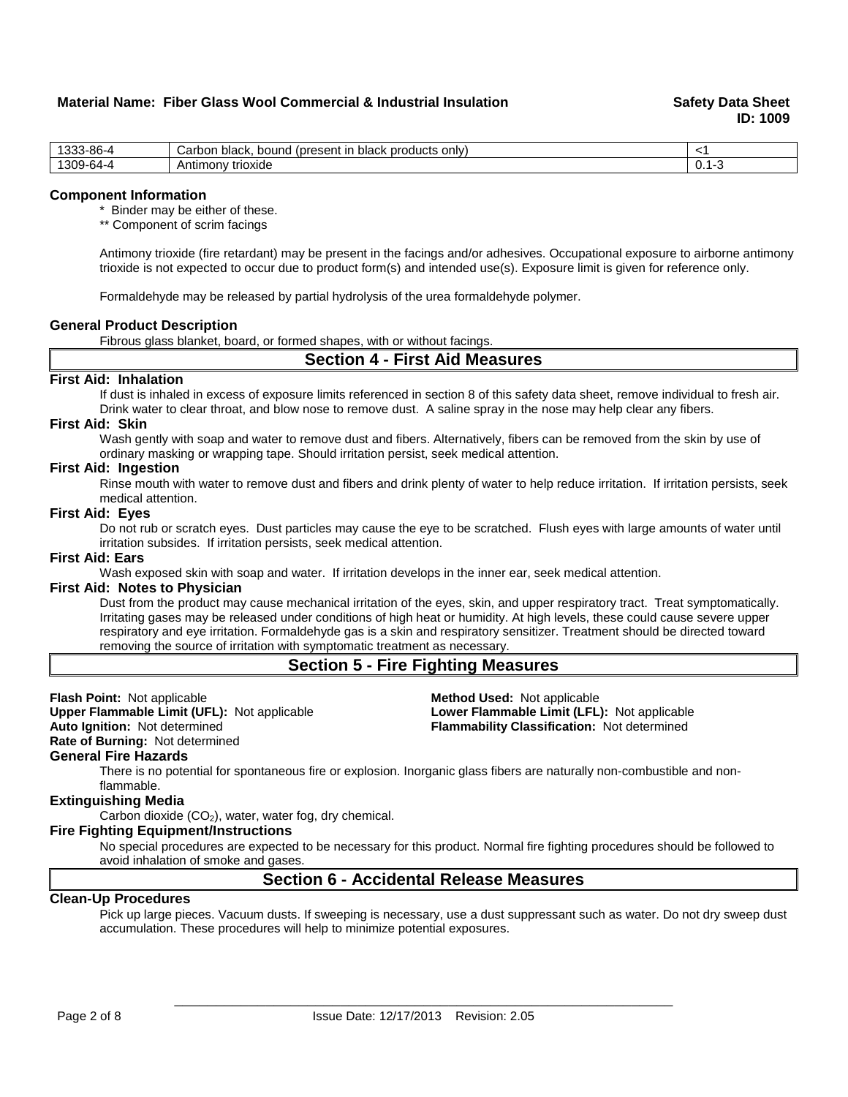# **Material Name: Fiber Glass Wool Commercial & Industrial Insulation Sammer Safety Data Sheet**

**ID: 1009**

| $3 - 86 - 4$<br>.000<br>ບບບ | products<br>only)<br>black.<br>(present in<br>Carbon<br>bound<br>black |       |
|-----------------------------|------------------------------------------------------------------------|-------|
| '309-64-4                   | trioxide<br>Antimony                                                   | ັບ. ເ |

#### **Component Information**

\* Binder may be either of these.

\*\* Component of scrim facings

Antimony trioxide (fire retardant) may be present in the facings and/or adhesives. Occupational exposure to airborne antimony trioxide is not expected to occur due to product form(s) and intended use(s). Exposure limit is given for reference only.

Formaldehyde may be released by partial hydrolysis of the urea formaldehyde polymer.

#### **General Product Description**

Fibrous glass blanket, board, or formed shapes, with or without facings.

# **Section 4 - First Aid Measures**

# **First Aid: Inhalation**

If dust is inhaled in excess of exposure limits referenced in section 8 of this safety data sheet, remove individual to fresh air. Drink water to clear throat, and blow nose to remove dust. A saline spray in the nose may help clear any fibers.

#### **First Aid: Skin**

Wash gently with soap and water to remove dust and fibers. Alternatively, fibers can be removed from the skin by use of ordinary masking or wrapping tape. Should irritation persist, seek medical attention.

#### **First Aid: Ingestion**

Rinse mouth with water to remove dust and fibers and drink plenty of water to help reduce irritation. If irritation persists, seek medical attention.

#### **First Aid: Eyes**

Do not rub or scratch eyes. Dust particles may cause the eye to be scratched. Flush eyes with large amounts of water until irritation subsides. If irritation persists, seek medical attention.

# **First Aid: Ears**

Wash exposed skin with soap and water. If irritation develops in the inner ear, seek medical attention.

# **First Aid: Notes to Physician**

Dust from the product may cause mechanical irritation of the eyes, skin, and upper respiratory tract. Treat symptomatically. Irritating gases may be released under conditions of high heat or humidity. At high levels, these could cause severe upper respiratory and eye irritation. Formaldehyde gas is a skin and respiratory sensitizer. Treatment should be directed toward removing the source of irritation with symptomatic treatment as necessary.

**Upper Flammable Limit (UFL):** Not applicable **Lower Flammable Limit (LFL):** Not applicable

# **Section 5 - Fire Fighting Measures**

**Flash Point:** Not applicable **Conserverse Conserverse Conserverse Conserverse Conserverse Upper Flammable Limit (LFL)<br>
<b>Prover Flammable Limit (UFL):** Not applicable **Conserverse Conserverse Conserverse Conserverse Conser Auto Ignition:** Not determined **Flammability Classification:** Not determined

**Rate of Burning:** Not determined

#### **General Fire Hazards**

There is no potential for spontaneous fire or explosion. Inorganic glass fibers are naturally non-combustible and nonflammable.

#### **Extinguishing Media**

Carbon dioxide  $(CO<sub>2</sub>)$ , water, water fog, dry chemical.

# **Fire Fighting Equipment/Instructions**

No special procedures are expected to be necessary for this product. Normal fire fighting procedures should be followed to avoid inhalation of smoke and gases.

# **Section 6 - Accidental Release Measures**

# **Clean-Up Procedures**

Pick up large pieces. Vacuum dusts. If sweeping is necessary, use a dust suppressant such as water. Do not dry sweep dust accumulation. These procedures will help to minimize potential exposures.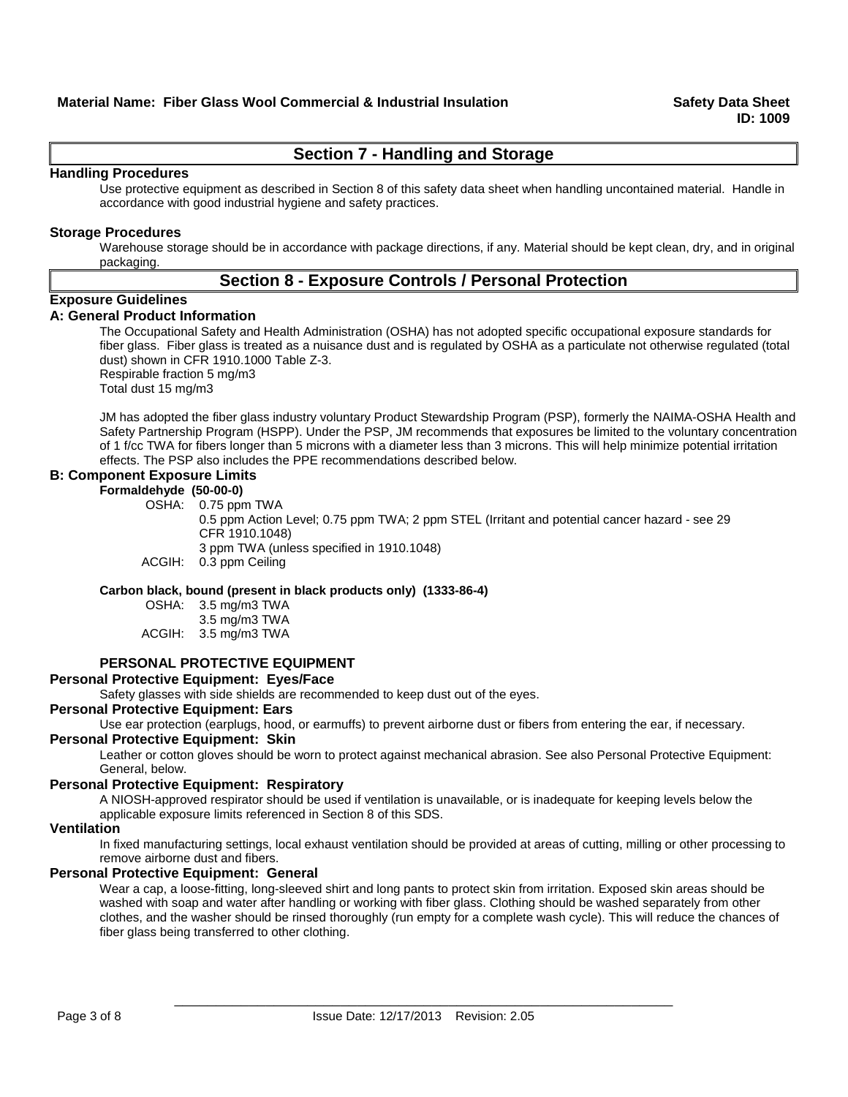# **Section 7 - Handling and Storage**

# **Handling Procedures**

Use protective equipment as described in Section 8 of this safety data sheet when handling uncontained material. Handle in accordance with good industrial hygiene and safety practices.

# **Storage Procedures**

Warehouse storage should be in accordance with package directions, if any. Material should be kept clean, dry, and in original packaging.

# **Section 8 - Exposure Controls / Personal Protection**

# **Exposure Guidelines**

# **A: General Product Information**

The Occupational Safety and Health Administration (OSHA) has not adopted specific occupational exposure standards for fiber glass. Fiber glass is treated as a nuisance dust and is regulated by OSHA as a particulate not otherwise regulated (total dust) shown in CFR 1910.1000 Table Z-3. Respirable fraction 5 mg/m3

Total dust 15 mg/m3

JM has adopted the fiber glass industry voluntary Product Stewardship Program (PSP), formerly the NAIMA-OSHA Health and Safety Partnership Program (HSPP). Under the PSP, JM recommends that exposures be limited to the voluntary concentration of 1 f/cc TWA for fibers longer than 5 microns with a diameter less than 3 microns. This will help minimize potential irritation effects. The PSP also includes the PPE recommendations described below.

# **B: Component Exposure Limits**

**Formaldehyde (50-00-0)** OSHA: 0.75 ppm TWA

0.5 ppm Action Level; 0.75 ppm TWA; 2 ppm STEL (Irritant and potential cancer hazard - see 29 CFR 1910.1048) 3 ppm TWA (unless specified in 1910.1048) ACGIH: 0.3 ppm Ceiling

# **Carbon black, bound (present in black products only) (1333-86-4)**

OSHA: 3.5 mg/m3 TWA

|        | 3.5 mg/m3 TWA |
|--------|---------------|
| ACGIH: | 3.5 mg/m3 TWA |

# **PERSONAL PROTECTIVE EQUIPMENT**

**Personal Protective Equipment: Eyes/Face**

Safety glasses with side shields are recommended to keep dust out of the eyes.

# **Personal Protective Equipment: Ears**

Use ear protection (earplugs, hood, or earmuffs) to prevent airborne dust or fibers from entering the ear, if necessary.

# **Personal Protective Equipment: Skin**

Leather or cotton gloves should be worn to protect against mechanical abrasion. See also Personal Protective Equipment: General, below.

# **Personal Protective Equipment: Respiratory**

A NIOSH-approved respirator should be used if ventilation is unavailable, or is inadequate for keeping levels below the applicable exposure limits referenced in Section 8 of this SDS.

# **Ventilation**

In fixed manufacturing settings, local exhaust ventilation should be provided at areas of cutting, milling or other processing to remove airborne dust and fibers.

# **Personal Protective Equipment: General**

Wear a cap, a loose-fitting, long-sleeved shirt and long pants to protect skin from irritation. Exposed skin areas should be washed with soap and water after handling or working with fiber glass. Clothing should be washed separately from other clothes, and the washer should be rinsed thoroughly (run empty for a complete wash cycle). This will reduce the chances of fiber glass being transferred to other clothing.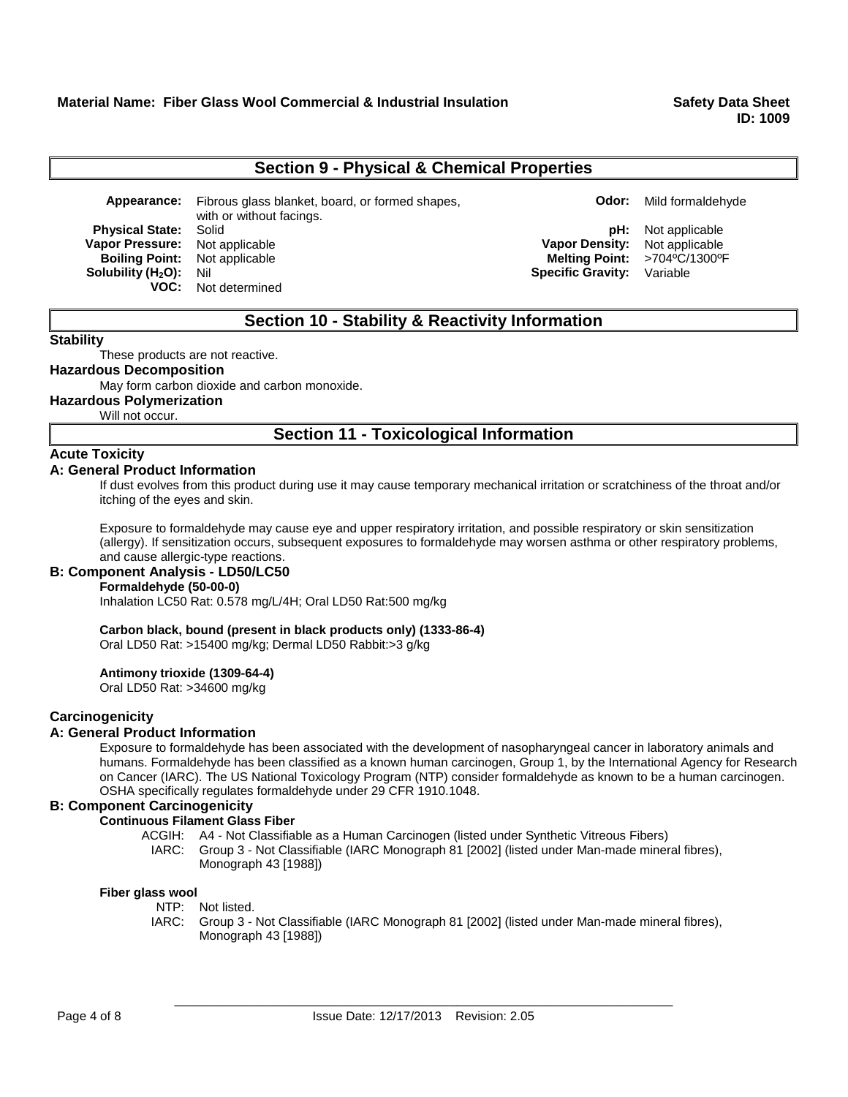**ID: 1009**

# **Section 9 - Physical & Chemical Properties**

**Appearance:** Fibrous glass blanket, board, or formed shapes, with or without facings. **Physical State:** Solid **physical State:** Solid **physical State:** Solid **physical State:** Solid **physical State: Not applicable physical State: Physical State: Physical State: Physical State: Physical State: Vapor Pressure:** Not applicable **Vapor Density:** Not applicable **Boiling Point:** Not applicable **Melting Point: Melting Point: Melting Point: Melting Point: Specific Gravity: Solubility (H<sub>2</sub>O):** Nil **Specific Gravity:** Variable **VOC:** Not determined

# **Section 10 - Stability & Reactivity Information**

#### **Stability**

These products are not reactive.

# **Hazardous Decomposition**

May form carbon dioxide and carbon monoxide.

**Hazardous Polymerization**

Will not occur.

# **Section 11 - Toxicological Information**

# **Acute Toxicity**

# **A: General Product Information**

If dust evolves from this product during use it may cause temporary mechanical irritation or scratchiness of the throat and/or itching of the eyes and skin.

Exposure to formaldehyde may cause eye and upper respiratory irritation, and possible respiratory or skin sensitization (allergy). If sensitization occurs, subsequent exposures to formaldehyde may worsen asthma or other respiratory problems, and cause allergic-type reactions.

# **B: Component Analysis - LD50/LC50**

# **Formaldehyde (50-00-0)**

Inhalation LC50 Rat: 0.578 mg/L/4H; Oral LD50 Rat:500 mg/kg

# **Carbon black, bound (present in black products only) (1333-86-4)**

Oral LD50 Rat: >15400 mg/kg; Dermal LD50 Rabbit:>3 g/kg

# **Antimony trioxide (1309-64-4)**

Oral LD50 Rat: >34600 mg/kg

# **Carcinogenicity**

# **A: General Product Information**

Exposure to formaldehyde has been associated with the development of nasopharyngeal cancer in laboratory animals and humans. Formaldehyde has been classified as a known human carcinogen, Group 1, by the International Agency for Research on Cancer (IARC). The US National Toxicology Program (NTP) consider formaldehyde as known to be a human carcinogen. OSHA specifically regulates formaldehyde under 29 CFR 1910.1048.

# **B: Component Carcinogenicity**

# **Continuous Filament Glass Fiber**

- ACGIH: A4 Not Classifiable as a Human Carcinogen (listed under Synthetic Vitreous Fibers)
	- IARC: Group 3 Not Classifiable (IARC Monograph 81 [2002] (listed under Man-made mineral fibres), Monograph 43 [1988])

# **Fiber glass wool**

- NTP: Not listed.
- IARC: Group 3 Not Classifiable (IARC Monograph 81 [2002] (listed under Man-made mineral fibres), Monograph 43 [1988])

**Odor:** Mild formaldehyde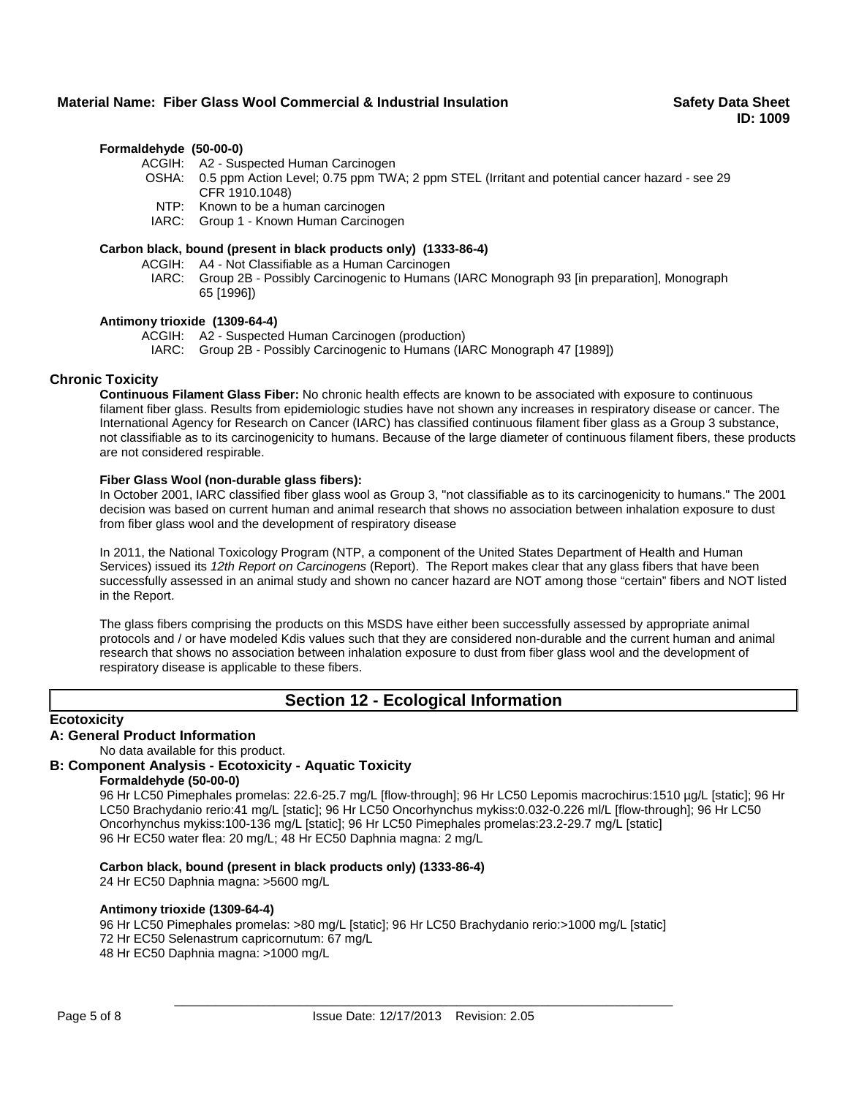# **Material Name: Fiber Glass Wool Commercial & Industrial Insulation Sammer Safety Data Sheet**

# **Formaldehyde (50-00-0)**

ACGIH: A2 - Suspected Human Carcinogen

- OSHA: 0.5 ppm Action Level; 0.75 ppm TWA; 2 ppm STEL (Irritant and potential cancer hazard see 29 CFR 1910.1048)
- NTP: Known to be a human carcinogen

IARC: Group 1 - Known Human Carcinogen

# **Carbon black, bound (present in black products only) (1333-86-4)**

ACGIH: A4 - Not Classifiable as a Human Carcinogen

IARC: Group 2B - Possibly Carcinogenic to Humans (IARC Monograph 93 [in preparation], Monograph 65 [1996])

#### **Antimony trioxide (1309-64-4)**

ACGIH: A2 - Suspected Human Carcinogen (production)

IARC: Group 2B - Possibly Carcinogenic to Humans (IARC Monograph 47 [1989])

# **Chronic Toxicity**

**Continuous Filament Glass Fiber:** No chronic health effects are known to be associated with exposure to continuous filament fiber glass. Results from epidemiologic studies have not shown any increases in respiratory disease or cancer. The International Agency for Research on Cancer (IARC) has classified continuous filament fiber glass as a Group 3 substance, not classifiable as to its carcinogenicity to humans. Because of the large diameter of continuous filament fibers, these products are not considered respirable.

# **Fiber Glass Wool (non-durable glass fibers):**

In October 2001, IARC classified fiber glass wool as Group 3, "not classifiable as to its carcinogenicity to humans." The 2001 decision was based on current human and animal research that shows no association between inhalation exposure to dust from fiber glass wool and the development of respiratory disease

In 2011, the National Toxicology Program (NTP, a component of the United States Department of Health and Human Services) issued its 12th Report on Carcinogens (Report). The Report makes clear that any glass fibers that have been successfully assessed in an animal study and shown no cancer hazard are NOT among those "certain" fibers and NOT listed in the Report.

The glass fibers comprising the products on this MSDS have either been successfully assessed by appropriate animal protocols and / or have modeled Kdis values such that they are considered non-durable and the current human and animal research that shows no association between inhalation exposure to dust from fiber glass wool and the development of respiratory disease is applicable to these fibers.

# **Section 12 - Ecological Information**

# **Ecotoxicity**

# **A: General Product Information**

No data available for this product.

# **B: Component Analysis - Ecotoxicity - Aquatic Toxicity**

# **Formaldehyde (50-00-0)**

96 Hr LC50 Pimephales promelas: 22.6-25.7 mg/L [flow-through]; 96 Hr LC50 Lepomis macrochirus:1510 µg/L [static]; 96 Hr LC50 Brachydanio rerio:41 mg/L [static]; 96 Hr LC50 Oncorhynchus mykiss:0.032-0.226 ml/L [flow-through]; 96 Hr LC50 Oncorhynchus mykiss:100-136 mg/L [static]; 96 Hr LC50 Pimephales promelas:23.2-29.7 mg/L [static] 96 Hr EC50 water flea: 20 mg/L; 48 Hr EC50 Daphnia magna: 2 mg/L

# **Carbon black, bound (present in black products only) (1333-86-4)**

24 Hr EC50 Daphnia magna: >5600 mg/L

# **Antimony trioxide (1309-64-4)**

96 Hr LC50 Pimephales promelas: >80 mg/L [static]; 96 Hr LC50 Brachydanio rerio:>1000 mg/L [static] 72 Hr EC50 Selenastrum capricornutum: 67 mg/L

48 Hr EC50 Daphnia magna: >1000 mg/L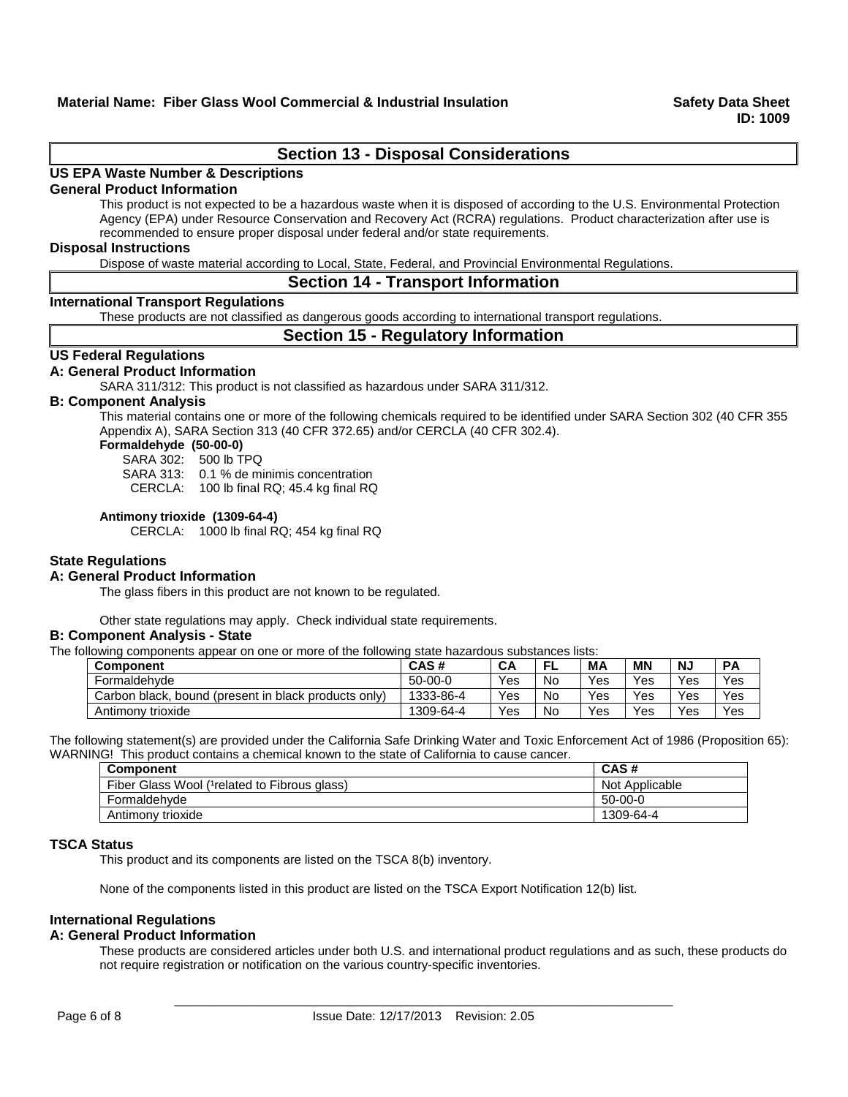# **Section 13 - Disposal Considerations**

# **US EPA Waste Number & Descriptions**

# **General Product Information**

This product is not expected to be a hazardous waste when it is disposed of according to the U.S. Environmental Protection Agency (EPA) under Resource Conservation and Recovery Act (RCRA) regulations. Product characterization after use is recommended to ensure proper disposal under federal and/or state requirements.

#### **Disposal Instructions**

Dispose of waste material according to Local, State, Federal, and Provincial Environmental Regulations.

# **Section 14 - Transport Information**

# **International Transport Regulations**

These products are not classified as dangerous goods according to international transport regulations.

# **Section 15 - Regulatory Information**

# **US Federal Regulations**

# **A: General Product Information**

SARA 311/312: This product is not classified as hazardous under SARA 311/312.

# **B: Component Analysis**

This material contains one or more of the following chemicals required to be identified under SARA Section 302 (40 CFR 355 Appendix A), SARA Section 313 (40 CFR 372.65) and/or CERCLA (40 CFR 302.4).

# **Formaldehyde (50-00-0)**

SARA 302: 500 lb TPQ

SARA 313: 0.1 % de minimis concentration

CERCLA: 100 lb final RQ; 45.4 kg final RQ

# **Antimony trioxide (1309-64-4)**

CERCLA: 1000 lb final RQ; 454 kg final RQ

# **State Regulations**

# **A: General Product Information**

The glass fibers in this product are not known to be regulated.

Other state regulations may apply. Check individual state requirements.

#### **B: Component Analysis - State**

The following components appear on one or more of the following state hazardous substances lists:

| <b>Component</b>                                     | CAS#      | CA  | Е<br>-- | MА  | ΜN  | <b>NJ</b> | <b>PA</b> |
|------------------------------------------------------|-----------|-----|---------|-----|-----|-----------|-----------|
| Formaldehyde                                         | $50-00-0$ | Yes | No      | Yes | Yes | Yes       | Yes       |
| Carbon black, bound (present in black products only) | 1333-86-4 | Yes | No      | Yes | Yes | Yes       | Yes       |
| Antimony trioxide                                    | 1309-64-4 | Yes | No      | Yes | Yes | Yes       | Yes       |

The following statement(s) are provided under the California Safe Drinking Water and Toxic Enforcement Act of 1986 (Proposition 65): WARNING! This product contains a chemical known to the state of California to cause cancer.

| Component                                     | CAS#           |
|-----------------------------------------------|----------------|
| Fiber Glass Wool (1 related to Fibrous glass) | Not Applicable |
| Formaldehvde                                  | $50-00-0$      |
| Antimony trioxide                             | 1309-64-4      |

# **TSCA Status**

This product and its components are listed on the TSCA 8(b) inventory.

None of the components listed in this product are listed on the TSCA Export Notification 12(b) list.

# **International Regulations**

# **A: General Product Information**

These products are considered articles under both U.S. and international product regulations and as such, these products do not require registration or notification on the various country-specific inventories.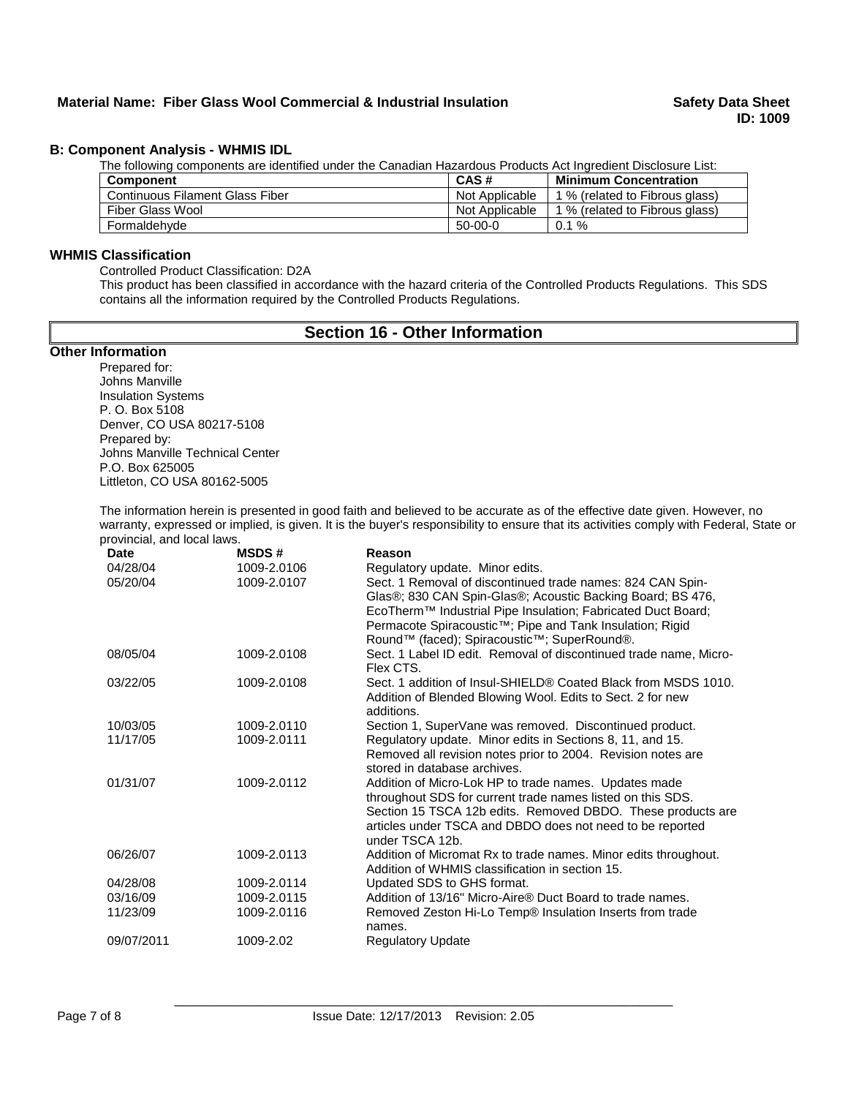# **B: Component Analysis - WHMIS IDL**

The following components are identified under the Canadian Hazardous Products Act Ingredient Disclosure List:

| <b>Component</b>                       | CAS#           | <b>Minimum Concentration</b>   |
|----------------------------------------|----------------|--------------------------------|
| <b>Continuous Filament Glass Fiber</b> | Not Applicable | 1 % (related to Fibrous glass) |
| Fiber Glass Wool                       | Not Applicable | 1 % (related to Fibrous glass) |
| Formaldehyde                           | $50-00-0$      | $0.1 \%$                       |

# **WHMIS Classification**

Controlled Product Classification: D2A

This product has been classified in accordance with the hazard criteria of the Controlled Products Regulations. This SDS contains all the information required by the Controlled Products Regulations.

# **Section 16 - Other Information**

# **Other Information**

Prepared for: Johns Manville Insulation Systems P. O. Box 5108 Denver, CO USA 80217-5108 Prepared by: Johns Manville Technical Center P.O. Box 625005 Littleton, CO USA 80162-5005

The information herein is presented in good faith and believed to be accurate as of the effective date given. However, no warranty, expressed or implied, is given. It is the buyer's responsibility to ensure that its activities comply with Federal, State or provincial, and local laws.

| <b>Date</b> | <b>MSDS#</b> | Reason                                                                |
|-------------|--------------|-----------------------------------------------------------------------|
| 04/28/04    | 1009-2.0106  | Regulatory update. Minor edits.                                       |
| 05/20/04    | 1009-2.0107  | Sect. 1 Removal of discontinued trade names: 824 CAN Spin-            |
|             |              | Glas®; 830 CAN Spin-Glas®; Acoustic Backing Board; BS 476,            |
|             |              | EcoTherm™ Industrial Pipe Insulation; Fabricated Duct Board;          |
|             |              | Permacote Spiracoustic <sup>™</sup> ; Pipe and Tank Insulation; Rigid |
|             |              | Round™ (faced); Spiracoustic™; SuperRound®.                           |
| 08/05/04    | 1009-2.0108  | Sect. 1 Label ID edit. Removal of discontinued trade name, Micro-     |
|             |              | Flex CTS.                                                             |
| 03/22/05    | 1009-2.0108  | Sect. 1 addition of Insul-SHIELD® Coated Black from MSDS 1010.        |
|             |              | Addition of Blended Blowing Wool. Edits to Sect. 2 for new            |
|             |              | additions.                                                            |
| 10/03/05    | 1009-2.0110  | Section 1, SuperVane was removed. Discontinued product.               |
| 11/17/05    | 1009-2.0111  | Regulatory update. Minor edits in Sections 8, 11, and 15.             |
|             |              | Removed all revision notes prior to 2004. Revision notes are          |
|             |              | stored in database archives.                                          |
| 01/31/07    | 1009-2.0112  | Addition of Micro-Lok HP to trade names. Updates made                 |
|             |              | throughout SDS for current trade names listed on this SDS.            |
|             |              | Section 15 TSCA 12b edits. Removed DBDO. These products are           |
|             |              | articles under TSCA and DBDO does not need to be reported             |
|             |              | under TSCA 12b.                                                       |
| 06/26/07    | 1009-2.0113  | Addition of Micromat Rx to trade names. Minor edits throughout.       |
|             |              | Addition of WHMIS classification in section 15.                       |
| 04/28/08    | 1009-2.0114  | Updated SDS to GHS format.                                            |
| 03/16/09    | 1009-2.0115  | Addition of 13/16" Micro-Aire® Duct Board to trade names.             |
| 11/23/09    | 1009-2.0116  | Removed Zeston Hi-Lo Temp® Insulation Inserts from trade              |
|             |              | names.                                                                |
| 09/07/2011  | 1009-2.02    | <b>Regulatory Update</b>                                              |